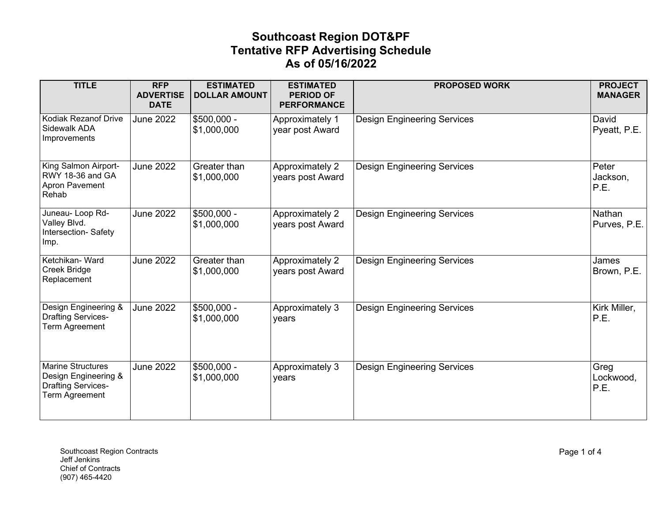| <b>TITLE</b>                                                                                    | <b>RFP</b><br><b>ADVERTISE</b><br><b>DATE</b> | <b>ESTIMATED</b><br><b>DOLLAR AMOUNT</b> | <b>ESTIMATED</b><br><b>PERIOD OF</b><br><b>PERFORMANCE</b> | <b>PROPOSED WORK</b>               | <b>PROJECT</b><br><b>MANAGER</b> |
|-------------------------------------------------------------------------------------------------|-----------------------------------------------|------------------------------------------|------------------------------------------------------------|------------------------------------|----------------------------------|
| <b>Kodiak Rezanof Drive</b><br>Sidewalk ADA<br>Improvements                                     | <b>June 2022</b>                              | $$500,000 -$<br>\$1,000,000              | Approximately 1<br>year post Award                         | <b>Design Engineering Services</b> | David<br>Pyeatt, P.E.            |
| King Salmon Airport-<br>RWY 18-36 and GA<br>Apron Pavement<br>Rehab                             | <b>June 2022</b>                              | Greater than<br>\$1,000,000              | Approximately 2<br>years post Award                        | <b>Design Engineering Services</b> | Peter<br>Jackson,<br>P.E.        |
| Juneau-Loop Rd-<br>Valley Blvd.<br>Intersection-Safety<br>Imp.                                  | <b>June 2022</b>                              | \$500,000 -<br>\$1,000,000               | Approximately 2<br>years post Award                        | <b>Design Engineering Services</b> | Nathan<br>Purves, P.E.           |
| Ketchikan-Ward<br><b>Creek Bridge</b><br>Replacement                                            | June 2022                                     | Greater than<br>\$1,000,000              | Approximately 2<br>years post Award                        | <b>Design Engineering Services</b> | James<br>Brown, P.E.             |
| Design Engineering &<br><b>Drafting Services-</b><br>Term Agreement                             | <b>June 2022</b>                              | $$500,000 -$<br>\$1,000,000              | Approximately 3<br>years                                   | <b>Design Engineering Services</b> | Kirk Miller,<br>P.E.             |
| <b>Marine Structures</b><br>Design Engineering &<br><b>Drafting Services-</b><br>Term Agreement | <b>June 2022</b>                              | \$500,000 -<br>\$1,000,000               | Approximately 3<br>years                                   | <b>Design Engineering Services</b> | Greg<br>Lockwood,<br>P.E.        |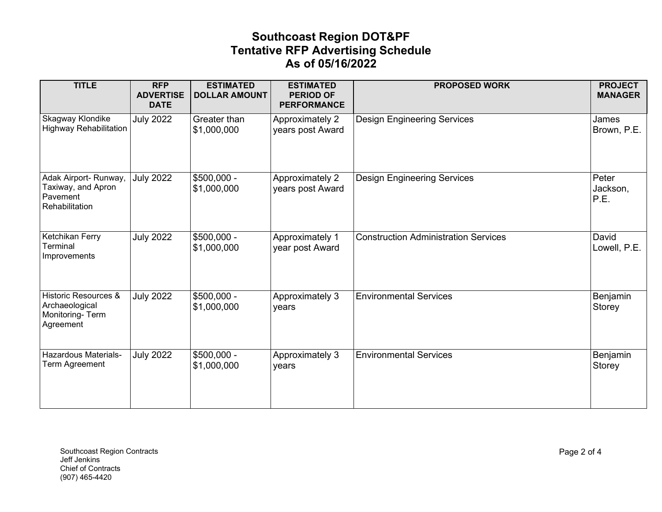| <b>TITLE</b>                                                                      | <b>RFP</b><br><b>ADVERTISE</b><br><b>DATE</b> | <b>ESTIMATED</b><br><b>DOLLAR AMOUNT</b> | <b>ESTIMATED</b><br><b>PERIOD OF</b><br><b>PERFORMANCE</b> | <b>PROPOSED WORK</b>                        | <b>PROJECT</b><br><b>MANAGER</b> |
|-----------------------------------------------------------------------------------|-----------------------------------------------|------------------------------------------|------------------------------------------------------------|---------------------------------------------|----------------------------------|
| <b>Skagway Klondike</b><br><b>Highway Rehabilitation</b>                          | <b>July 2022</b>                              | Greater than<br>\$1,000,000              | <b>Approximately 2</b><br>years post Award                 | <b>Design Engineering Services</b>          | James<br>Brown, P.E.             |
| Adak Airport- Runway,<br>Taxiway, and Apron<br>Pavement<br>Rehabilitation         | <b>July 2022</b>                              | $$500,000 -$<br>\$1,000,000              | Approximately 2<br>years post Award                        | <b>Design Engineering Services</b>          | Peter<br>Jackson,<br>P.E.        |
| Ketchikan Ferry<br>Terminal<br>Improvements                                       | <b>July 2022</b>                              | $$500,000 -$<br>\$1,000,000              | Approximately 1<br>year post Award                         | <b>Construction Administration Services</b> | David<br>Lowell, P.E.            |
| <b>Historic Resources &amp;</b><br>Archaeological<br>Monitoring-Term<br>Agreement | <b>July 2022</b>                              | \$500,000 -<br>\$1,000,000               | Approximately 3<br>years                                   | <b>Environmental Services</b>               | Benjamin<br>Storey               |
| Hazardous Materials-<br>Term Agreement                                            | <b>July 2022</b>                              | $$500,000 -$<br>\$1,000,000              | Approximately 3<br>years                                   | <b>Environmental Services</b>               | Benjamin<br>Storey               |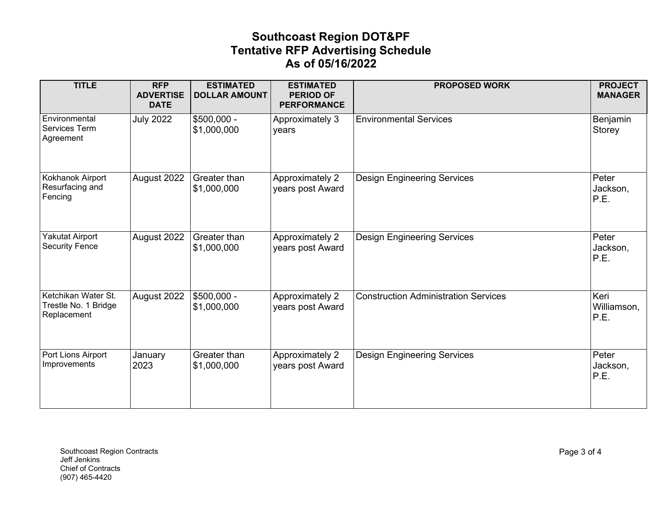| <b>TITLE</b>                                               | <b>RFP</b><br><b>ADVERTISE</b><br><b>DATE</b> | <b>ESTIMATED</b><br><b>DOLLAR AMOUNT</b> | <b>ESTIMATED</b><br><b>PERIOD OF</b><br><b>PERFORMANCE</b> | <b>PROPOSED WORK</b>                        | <b>PROJECT</b><br><b>MANAGER</b> |
|------------------------------------------------------------|-----------------------------------------------|------------------------------------------|------------------------------------------------------------|---------------------------------------------|----------------------------------|
| Environmental<br>Services Term<br>Agreement                | <b>July 2022</b>                              | $\sqrt{$500,000}$ -<br>\$1,000,000       | Approximately 3<br>years                                   | <b>Environmental Services</b>               | Benjamin<br>Storey               |
| Kokhanok Airport<br>Resurfacing and<br>Fencing             | August 2022                                   | Greater than<br>\$1,000,000              | Approximately 2<br>years post Award                        | <b>Design Engineering Services</b>          | Peter<br>Jackson,<br>P.E.        |
| Yakutat Airport<br><b>Security Fence</b>                   | August 2022                                   | Greater than<br>\$1,000,000              | Approximately 2<br>years post Award                        | <b>Design Engineering Services</b>          | Peter<br>Jackson,<br>P.E.        |
| Ketchikan Water St.<br>Trestle No. 1 Bridge<br>Replacement | August 2022                                   | \$500,000 -<br>\$1,000,000               | Approximately 2<br>years post Award                        | <b>Construction Administration Services</b> | Keri<br>Williamson,<br>P.E.      |
| Port Lions Airport<br>Improvements                         | January<br>2023                               | Greater than<br>\$1,000,000              | Approximately 2<br>years post Award                        | <b>Design Engineering Services</b>          | Peter<br>Jackson,<br>P.E.        |